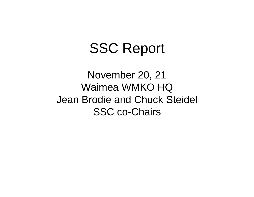# SSC Report

November 20, 21 Waimea WMKO HQ Jean Brodie and Chuck Steidel SSC co-Chairs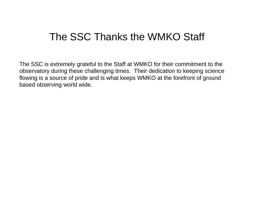# The SSC Thanks the WMKO Staff

The SSC is extremely grateful to the Staff at WMKO for their commitment to the observatory during these challenging times. Their dedication to keeping science flowing is a source of pride and is what keeps WMKO at the forefront of ground based observing world wide.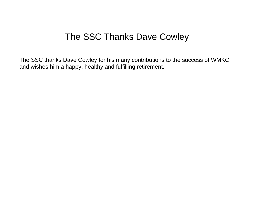# The SSC Thanks Dave Cowley

The SSC thanks Dave Cowley for his many contributions to the success of WMKO and wishes him a happy, healthy and fulfilling retirement.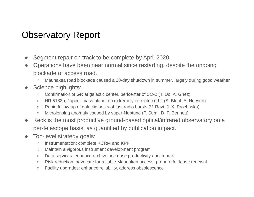# Observatory Report

- Segment repair on track to be complete by April 2020.
- Operations have been near normal since restarting, despite the ongoing blockade of access road.
	- Maunakea road blockade caused a 28-day shutdown in summer, largely during good weather.
- Science highlights:
	- Confirmation of GR at galactic center, pericenter of SO-2 (T. Do, A. Ghez)
	- HR 5183b, Jupiter-mass planet on extremely eccentric orbit (S. Blunt, A. Howard)
	- Rapid follow-up of galactic hosts of fast radio bursts (V. Ravi, J. X. Prochaska)
	- Microlensing anomaly caused by super-Neptune (T. Sumi, D. P. Bennett)
- Keck is the most productive ground-based optical/infrared observatory on a per-telescope basis, as quantified by publication impact.
- Top-level strategy goals:
	- Instrumentation: complete KCRM and KPF
	- Maintain a vigorous instrument development program
	- Data services: enhance archive, increase productivity and impact
	- Risk reduction: advocate for reliable Maunakea access, prepare for lease renewal
	- Facility upgrades: enhance reliability, address obsolescence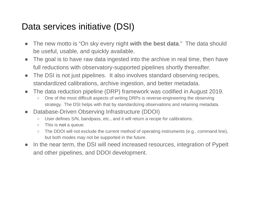# Data services initiative (DSI)

- The new motto is "On sky every night **with the best data**." The data should be useful, usable, and quickly available.
- The goal is to have raw data ingested into the archive in real time, then have full reductions with observatory-supported pipelines shortly thereafter.
- The DSI is not just pipelines. It also involves standard observing recipes, standardized calibrations, archive ingestion, and better metadata.
- The data reduction pipeline (DRP) framework was codified in August 2019.
	- One of the most difficult aspects of writing DRPs is reverse-engineering the observing strategy. The DSI helps with that by standardizing observations and retaining metadata.
- Database-Driven Observing Infrastructure (DDOI)
	- User defines S/N, bandpass, etc., and it will return a recipe for calibrations.
	- This is **not** a queue.
	- The DDOI will not exclude the current method of operating instruments (e.g., command line), but both modes may not be supported in the future.
- In the near term, the DSI will need increased resources, integration of PypeIt and other pipelines, and DDOI development.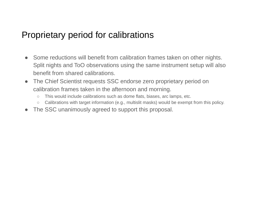### Proprietary period for calibrations

- Some reductions will benefit from calibration frames taken on other nights. Split nights and ToO observations using the same instrument setup will also benefit from shared calibrations.
- The Chief Scientist requests SSC endorse zero proprietary period on calibration frames taken in the afternoon and morning.
	- This would include calibrations such as dome flats, biases, arc lamps, etc.
	- Calibrations with target information (e.g., multislit masks) would be exempt from this policy.
- The SSC unanimously agreed to support this proposal.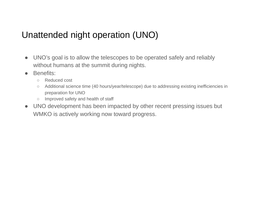# Unattended night operation (UNO)

- UNO's goal is to allow the telescopes to be operated safely and reliably without humans at the summit during nights.
- Benefits:
	- Reduced cost
	- Additional science time (40 hours/year/telescope) due to addressing existing inefficiencies in preparation for UNO
	- Improved safety and health of staff
- UNO development has been impacted by other recent pressing issues but WMKO is actively working now toward progress.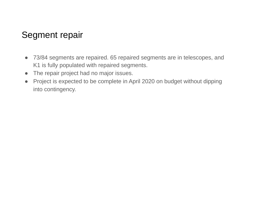# Segment repair

- 73/84 segments are repaired. 65 repaired segments are in telescopes, and K1 is fully populated with repaired segments.
- The repair project had no major issues.
- Project is expected to be complete in April 2020 on budget without dipping into contingency.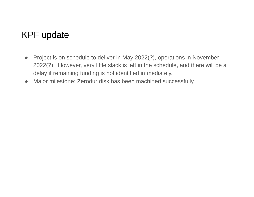# KPF update

- Project is on schedule to deliver in May 2022(?), operations in November 2022(?). However, very little slack is left in the schedule, and there will be a delay if remaining funding is not identified immediately.
- Major milestone: Zerodur disk has been machined successfully.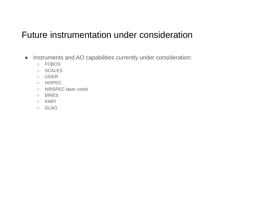# Future instrumentation under consideration

- Instruments and AO capabilities currently under consideration:
	- FOBOS
	- SCALES
	- LIGER
	- HISPEC
	- NIRSPEC laser comb
	- BIRES
	- KWFI
	- GLAO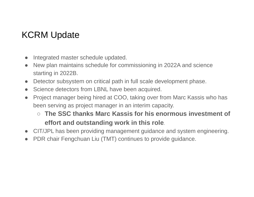# KCRM Update

- Integrated master schedule updated.
- New plan maintains schedule for commissioning in 2022A and science starting in 2022B.
- Detector subsystem on critical path in full scale development phase.
- Science detectors from LBNL have been acquired.
- Project manager being hired at COO, taking over from Marc Kassis who has been serving as project manager in an interim capacity.
	- **The SSC thanks Marc Kassis for his enormous investment of effort and outstanding work in this role**.
- CIT/JPL has been providing management guidance and system engineering.
- PDR chair Fengchuan Liu (TMT) continues to provide guidance.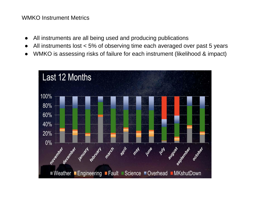#### WMKO Instrument Metrics

- All instruments are all being used and producing publications
- All instruments lost < 5% of observing time each averaged over past 5 years
- WMKO is assessing risks of failure for each instrument (likelihood & impact)

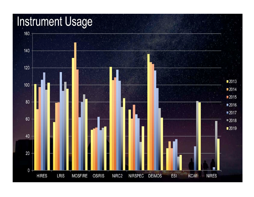# **Instrument Usage**

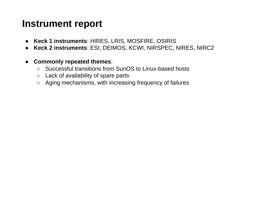## **Instrument report**

- **Keck 1 instruments**: HIRES, LRIS, MOSFIRE, OSIRIS
- **Keck 2 instruments**: ESI, DEIMOS, KCWI, NIRSPEC, NIRES, NIRC2
- **Commonly repeated themes**:
	- Successful transitions from SunOS to Linux-based hosts
	- Lack of availability of spare parts
	- Aging mechanisms, with increasing frequency of failures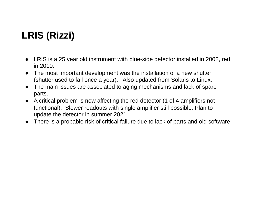# **LRIS (Rizzi)**

- LRIS is a 25 year old instrument with blue-side detector installed in 2002, red in 2010.
- The most important development was the installation of a new shutter (shutter used to fail once a year). Also updated from Solaris to Linux.
- The main issues are associated to aging mechanisms and lack of spare parts.
- A critical problem is now affecting the red detector (1 of 4 amplifiers not functional). Slower readouts with single amplifier still possible. Plan to update the detector in summer 2021.
- There is a probable risk of critical failure due to lack of parts and old software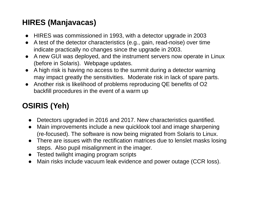#### **HIRES (Manjavacas)**

- HIRES was commissioned in 1993, with a detector upgrade in 2003
- A test of the detector characteristics (e.g., gain, read-noise) over time indicate practically no changes since the upgrade in 2003.
- A new GUI was deployed, and the instrument servers now operate in Linux (before in Solaris). Webpage updates.
- A high risk is having no access to the summit during a detector warning may impact greatly the sensitivities. Moderate risk in lack of spare parts.
- Another risk is likelihood of problems reproducing QE benefits of O2 backfill procedures in the event of a warm up

# **OSIRIS (Yeh)**

- Detectors upgraded in 2016 and 2017. New characteristics quantified.
- Main improvements include a new quicklook tool and image sharpening (re-focused). The software is now being migrated from Solaris to Linux.
- There are issues with the rectification matrices due to lenslet masks losing steps. Also pupil misalignment in the imager.
- Tested twilight imaging program scripts
- Main risks include vacuum leak evidence and power outage (CCR loss).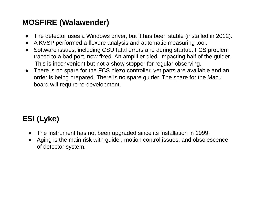#### **MOSFIRE (Walawender)**

- The detector uses a Windows driver, but it has been stable (installed in 2012).
- A KVSP performed a flexure analysis and automatic measuring tool.
- Software issues, including CSU fatal errors and during startup. FCS problem traced to a bad port, now fixed. An amplifier died, impacting half of the guider. This is inconvenient but not a show stopper for regular observing.
- There is no spare for the FCS piezo controller, yet parts are available and an order is being prepared. There is no spare guider. The spare for the Macu board will require re-development.

# **ESI (Lyke)**

- The instrument has not been upgraded since its installation in 1999.
- Aging is the main risk with guider, motion control issues, and obsolescence of detector system.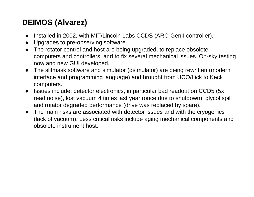#### **DEIMOS (Alvarez)**

- Installed in 2002, with MIT/Lincoln Labs CCDS (ARC-GenII controller).
- Upgrades to pre-observing software.
- The rotator control and host are being upgraded, to replace obsolete computers and controllers, and to fix several mechanical issues. On-sky testing now and new GUI developed.
- The slitmask software and simulator (dsimulator) are being rewritten (modern interface and programming language) and brought from UCO/Lick to Keck computers.
- Issues include: detector electronics, in particular bad readout on CCD5 (5x) read noise), lost vacuum 4 times last year (once due to shutdown), glycol spill and rotator degraded performance (drive was replaced by spare).
- The main risks are associated with detector issues and with the cryogenics (lack of vacuum). Less critical risks include aging mechanical components and obsolete instrument host.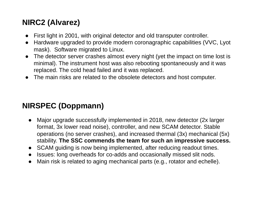#### **NIRC2 (Alvarez)**

- First light in 2001, with original detector and old transputer controller.
- Hardware upgraded to provide modern coronagraphic capabilities (VVC, Lyot mask). Software migrated to Linux.
- The detector server crashes almost every night (yet the impact on time lost is minimal). The instrument host was also rebooting spontaneously and it was replaced. The cold head failed and it was replaced.
- The main risks are related to the obsolete detectors and host computer.

### **NIRSPEC (Doppmann)**

- Major upgrade successfully implemented in 2018, new detector (2x larger format, 3x lower read noise), controller, and new SCAM detector. Stable operations (no server crashes), and increased thermal (3x) mechanical (5x) stability. **The SSC commends the team for such an impressive success.**
- SCAM guiding is now being implemented, after reducing readout times.
- Issues: long overheads for co-adds and occasionally missed slit nods.
- Main risk is related to aging mechanical parts (e.g., rotator and echelle).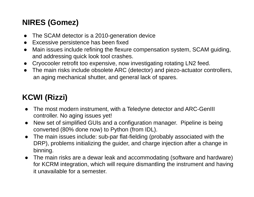# **NIRES (Gomez)**

- The SCAM detector is a 2010-generation device
- Excessive persistence has been fixed
- Main issues include refining the flexure compensation system, SCAM guiding, and addressing quick look tool crashes.
- Cryocooler retrofit too expensive, now investigating rotating LN2 feed.
- The main risks include obsolete ARC (detector) and piezo-actuator controllers, an aging mechanical shutter, and general lack of spares.

# **KCWI (Rizzi)**

- The most modern instrument, with a Teledyne detector and ARC-GenIII controller. No aging issues yet!
- New set of simplified GUIs and a configuration manager. Pipeline is being converted (80% done now) to Python (from IDL).
- The main issues include: sub-par flat-fielding (probably associated with the DRP), problems initializing the guider, and charge injection after a change in binning.
- The main risks are a dewar leak and accommodating (software and hardware) for KCRM integration, which will require dismantling the instrument and having it unavailable for a semester.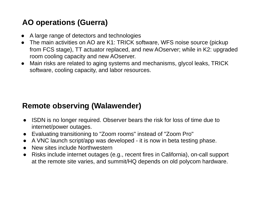#### **AO operations (Guerra)**

- A large range of detectors and technologies
- The main activities on AO are K1: TRICK software, WFS noise source (pickup from FCS stage), TT actuator replaced, and new AOserver; while in K2: upgraded room cooling capacity and new AOserver.
- Main risks are related to aging systems and mechanisms, glycol leaks, TRICK software, cooling capacity, and labor resources.

#### **Remote observing (Walawender)**

- ISDN is no longer required. Observer bears the risk for loss of time due to internet/power outages.
- Evaluating transitioning to "Zoom rooms" instead of "Zoom Pro"
- A VNC launch script/app was developed it is now in beta testing phase.
- New sites include Northwestern
- Risks include internet outages (e.g., recent fires in California), on-call support at the remote site varies, and summit/HQ depends on old polycom hardware.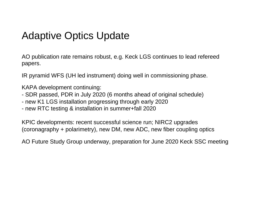# Adaptive Optics Update

AO publication rate remains robust, e.g. Keck LGS continues to lead refereed papers.

IR pyramid WFS (UH led instrument) doing well in commissioning phase.

KAPA development continuing:

- SDR passed, PDR in July 2020 (6 months ahead of original schedule)
- new K1 LGS installation progressing through early 2020
- new RTC testing & installation in summer+fall 2020

KPIC developments: recent successful science run; NIRC2 upgrades (coronagraphy + polarimetry), new DM, new ADC, new fiber coupling optics

AO Future Study Group underway, preparation for June 2020 Keck SSC meeting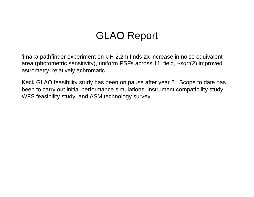# GLAO Report

'imaka pathfinder experiment on UH 2.2m finds 2x increase in noise equivalent area (photometric sensitivity), uniform PSFs across 11' field, ~sqrt(2) improved astrometry, relatively achromatic.

Keck GLAO feasibility study has been on pause after year 2. Scope to date has been to carry out initial performance simulations, instrument compatibility study, WFS feasibility study, and ASM technology survey.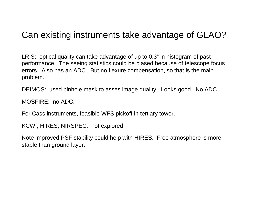# Can existing instruments take advantage of GLAO?

LRIS: optical quality can take advantage of up to 0.3" in histogram of past performance. The seeing statistics could be biased because of telescope focus errors. Also has an ADC. But no flexure compensation, so that is the main problem.

DEIMOS: used pinhole mask to asses image quality. Looks good. No ADC

MOSFIRE: no ADC.

For Cass instruments, feasible WFS pickoff in tertiary tower.

KCWI, HIRES, NIRSPEC: not explored

Note improved PSF stability could help with HIRES. Free atmosphere is more stable than ground layer.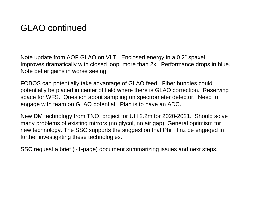# GLAO continued

Note update from AOF GLAO on VLT. Enclosed energy in a 0.2" spaxel. Improves dramatically with closed loop, more than 2x. Performance drops in blue. Note better gains in worse seeing.

FOBOS can potentially take advantage of GLAO feed. Fiber bundles could potentially be placed in center of field where there is GLAO correction. Reserving space for WFS. Question about sampling on spectrometer detector. Need to engage with team on GLAO potential. Plan is to have an ADC.

New DM technology from TNO, project for UH 2.2m for 2020-2021. Should solve many problems of existing mirrors (no glycol, no air gap). General optimism for new technology. The SSC supports the suggestion that Phil Hinz be engaged in further investigating these technologies.

SSC request a brief (~1-page) document summarizing issues and next steps.